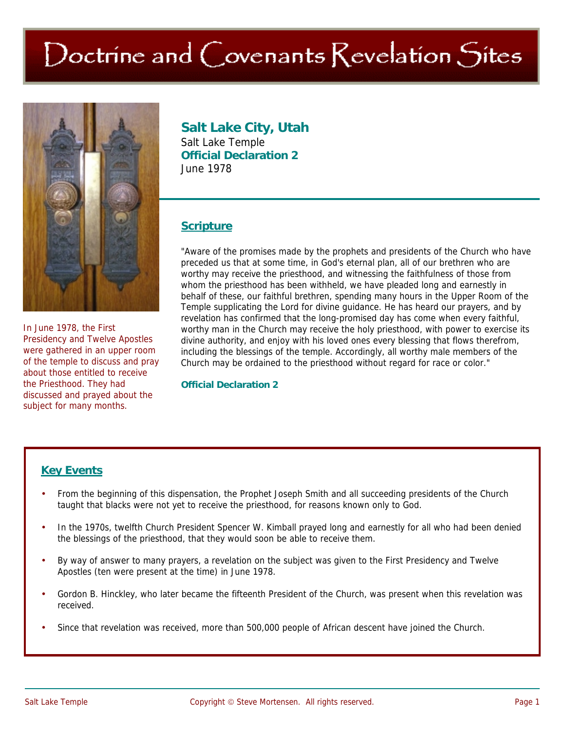# Doctrine and Covenants Revelation Sites



In June 1978, the First Presidency and Twelve Apostles were gathered in an upper room of the temple to discuss and pray about those entitled to receive the Priesthood. They had discussed and prayed about the subject for many months.

#### **Salt Lake City, Utah**  Salt Lake Temple **Official Declaration 2**  June 1978

# **Scripture**

"Aware of the promises made by the prophets and presidents of the Church who have preceded us that at some time, in God's eternal plan, all of our brethren who are worthy may receive the priesthood, and witnessing the faithfulness of those from whom the priesthood has been withheld, we have pleaded long and earnestly in behalf of these, our faithful brethren, spending many hours in the Upper Room of the Temple supplicating the Lord for divine guidance. He has heard our prayers, and by revelation has confirmed that the long-promised day has come when every faithful, worthy man in the Church may receive the holy priesthood, with power to exercise its divine authority, and enjoy with his loved ones every blessing that flows therefrom, including the blessings of the temple. Accordingly, all worthy male members of the Church may be ordained to the priesthood without regard for race or color."

#### **Official Declaration 2**

## **Key Events**

- From the beginning of this dispensation, the Prophet Joseph Smith and all succeeding presidents of the Church taught that blacks were not yet to receive the priesthood, for reasons known only to God.
- In the 1970s, twelfth Church President Spencer W. Kimball prayed long and earnestly for all who had been denied the blessings of the priesthood, that they would soon be able to receive them.
- By way of answer to many prayers, a revelation on the subject was given to the First Presidency and Twelve Apostles (ten were present at the time) in June 1978.
- Gordon B. Hinckley, who later became the fifteenth President of the Church, was present when this revelation was received.
- Since that revelation was received, more than 500,000 people of African descent have joined the Church.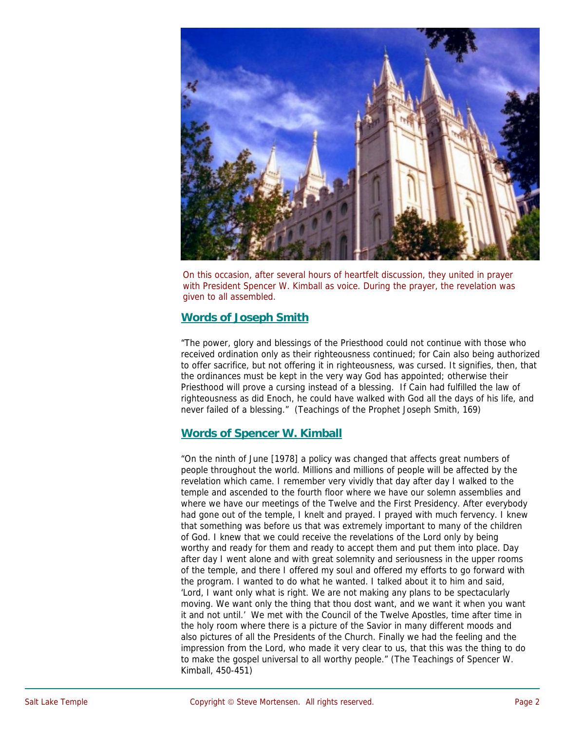

On this occasion, after several hours of heartfelt discussion, they united in prayer with President Spencer W. Kimball as voice. During the prayer, the revelation was given to all assembled.

#### **Words of Joseph Smith**

"The power, glory and blessings of the Priesthood could not continue with those who received ordination only as their righteousness continued; for Cain also being authorized to offer sacrifice, but not offering it in righteousness, was cursed. It signifies, then, that the ordinances must be kept in the very way God has appointed; otherwise their Priesthood will prove a cursing instead of a blessing. If Cain had fulfilled the law of righteousness as did Enoch, he could have walked with God all the days of his life, and never failed of a blessing." (Teachings of the Prophet Joseph Smith, 169)

#### **Words of Spencer W. Kimball**

"On the ninth of June [1978] a policy was changed that affects great numbers of people throughout the world. Millions and millions of people will be affected by the revelation which came. I remember very vividly that day after day I walked to the temple and ascended to the fourth floor where we have our solemn assemblies and where we have our meetings of the Twelve and the First Presidency. After everybody had gone out of the temple, I knelt and prayed. I prayed with much fervency. I knew that something was before us that was extremely important to many of the children of God. I knew that we could receive the revelations of the Lord only by being worthy and ready for them and ready to accept them and put them into place. Day after day I went alone and with great solemnity and seriousness in the upper rooms of the temple, and there I offered my soul and offered my efforts to go forward with the program. I wanted to do what he wanted. I talked about it to him and said, 'Lord, I want only what is right. We are not making any plans to be spectacularly moving. We want only the thing that thou dost want, and we want it when you want it and not until.' We met with the Council of the Twelve Apostles, time after time in the holy room where there is a picture of the Savior in many different moods and also pictures of all the Presidents of the Church. Finally we had the feeling and the impression from the Lord, who made it very clear to us, that this was the thing to do to make the gospel universal to all worthy people." (The Teachings of Spencer W. Kimball, 450-451)